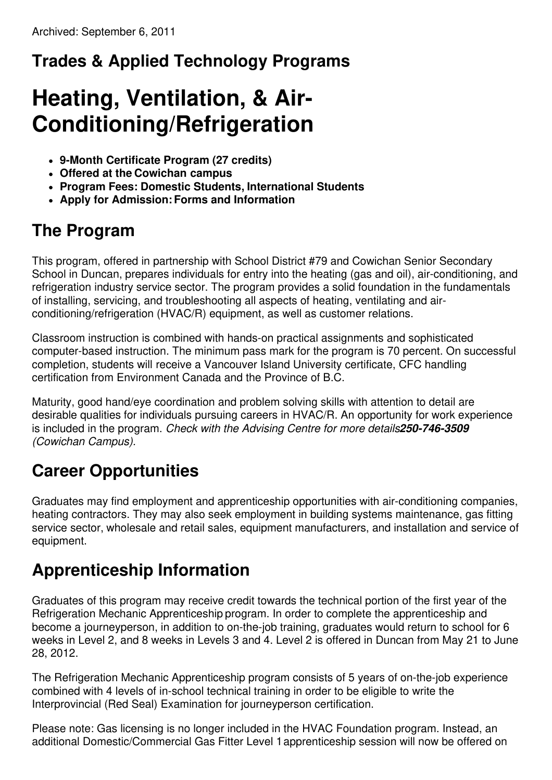# **Trades & Applied Technology Programs**

# **Heating, Ventilation, & Air-Conditioning/Refrigeration**

- **9-Month Certificate Program (27 credits)**
- **Offered at the Cowichan campus**
- **Program Fees: Domestic Students, International Students**
- **Apply for Admission:Forms and Information**

## **The Program**

This program, offered in partnership with School District #79 and Cowichan Senior Secondary School in Duncan, prepares individuals for entry into the heating (gas and oil), air-conditioning, and refrigeration industry service sector. The program provides a solid foundation in the fundamentals of installing, servicing, and troubleshooting all aspects of heating, ventilating and airconditioning/refrigeration (HVAC/R) equipment, as well as customer relations.

Classroom instruction is combined with hands-on practical assignments and sophisticated computer-based instruction. The minimum pass mark for the program is 70 percent. On successful completion, students will receive a Vancouver Island University certificate, CFC handling certification from Environment Canada and the Province of B.C.

Maturity, good hand/eye coordination and problem solving skills with attention to detail are desirable qualities for individuals pursuing careers in HVAC/R. An opportunity for work experience is included in the program. *Check with the Advising Centre for more details250-746-3509 (Cowichan Campus).*

## **Career Opportunities**

Graduates may find employment and apprenticeship opportunities with air-conditioning companies, heating contractors. They may also seek employment in building systems maintenance, gas fitting service sector, wholesale and retail sales, equipment manufacturers, and installation and service of equipment.

## **Apprenticeship Information**

Graduates of this program may receive credit towards the technical portion of the first year of the Refrigeration Mechanic Apprenticeship program. In order to complete the apprenticeship and become a journeyperson, in addition to on-the-job training, graduates would return to school for 6 weeks in Level 2, and 8 weeks in Levels 3 and 4. Level 2 is offered in Duncan from May 21 to June 28, 2012.

The Refrigeration Mechanic Apprenticeship program consists of 5 years of on-the-job experience combined with 4 levels of in-school technical training in order to be eligible to write the Interprovincial (Red Seal) Examination for journeyperson certification.

Please note: Gas licensing is no longer included in the HVAC Foundation program. Instead, an additional Domestic/Commercial Gas Fitter Level 1apprenticeship session will now be offered on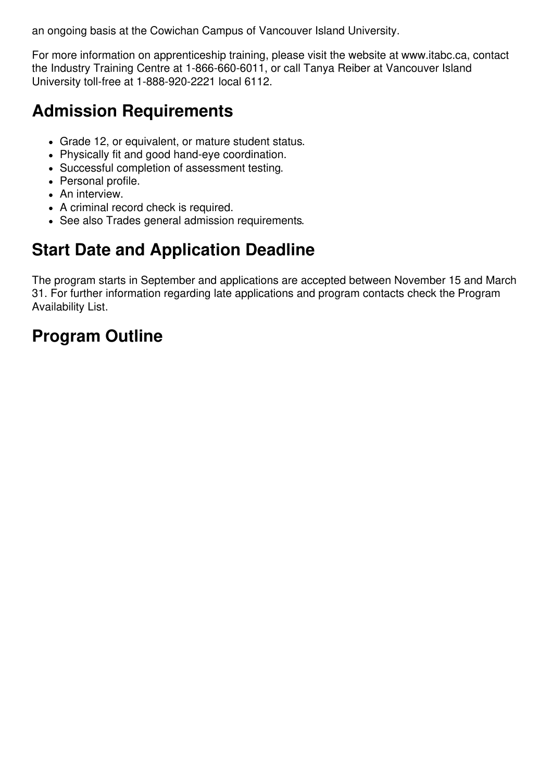an ongoing basis at the Cowichan Campus of Vancouver Island University.

For more information on apprenticeship training, please visit the website at www.itabc.ca, contact the Industry Training Centre at 1-866-660-6011, or call Tanya Reiber at Vancouver Island University toll-free at 1-888-920-2221 local 6112.

### **Admission Requirements**

- Grade 12, or equivalent, or mature student status.
- Physically fit and good hand-eye coordination.
- Successful completion of assessment testing.
- Personal profile.
- An interview.
- A criminal record check is required.
- See also Trades general admission requirements.

### **Start Date and Application Deadline**

The program starts in September and applications are accepted between November 15 and March 31. For further information regarding late applications and program contacts check the Program Availability List.

### **Program Outline**